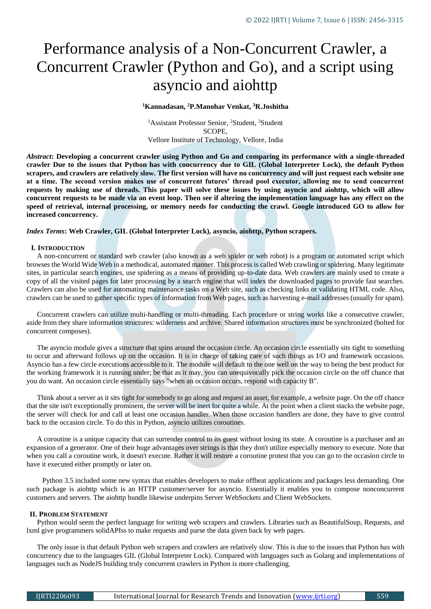# Performance analysis of a Non-Concurrent Crawler, a Concurrent Crawler (Python and Go), and a script using asyncio and aiohttp

**<sup>1</sup>Kannadasan, <sup>2</sup>P.Manohar Venkat, <sup>3</sup>R.Joshitha**

<sup>1</sup>Assistant Professor Senior, <sup>2</sup>Student, <sup>3</sup>Student SCOPE, Vellore Institute of Technology, Vellore, India

*Abstract***: Developing a concurrent crawler using Python and Go and comparing its performance with a single-threaded crawler Due to the issues that Python has with concurrency due to GIL (Global Interpreter Lock), the default Python scrapers, and crawlers are relatively slow. The first version will have no concurrency and will just request each website one at a time. The second version makes use of concurrent futures' thread pool executor, allowing me to send concurrent requests by making use of threads. This paper will solve these issues by using asyncio and aiohttp, which will allow concurrent requests to be made via an event loop. Then see if altering the implementation language has any effect on the speed of retrieval, internal processing, or memory needs for conducting the crawl. Google introduced GO to allow for increased concurrency.**

*Index Terms***: Web Crawler, GIL (Global Interpreter Lock), asyncio, aiohttp, Python scrapers.**

#### **I. INTRODUCTION**

A non-concurrent or standard web crawler (also known as a web spider or web robot) is a program or automated script which browses the World Wide Web in a methodical, automated manner. This process is called Web crawling or spidering. Many legitimate sites, in particular search engines, use spidering as a means of providing up-to-date data. Web crawlers are mainly used to create a copy of all the visited pages for later processing by a search engine that will index the downloaded pages to provide fast searches. Crawlers can also be used for automating maintenance tasks on a Web site, such as checking links or validating HTML code. Also, crawlers can be used to gather specific types of information from Web pages, such as harvesting e-mail addresses (usually for spam).

Concurrent crawlers can utilize multi-handling or multi-threading. Each procedure or string works like a consecutive crawler, aside from they share information structures: wilderness and archive. Shared information structures must be synchronized (bolted for concurrent composes).

The asyncio module gives a structure that spins around the occasion circle. An occasion circle essentially sits tight to something to occur and afterward follows up on the occasion. It is in charge of taking care of such things as I/O and framework occasions. Asyncio has a few circle executions accessible to it. The module will default to the one well on the way to being the best product for the working framework it is running under; be that as it may, you can unequivocally pick the occasion circle on the off chance that you do want. An occasion circle essentially says "when an occasion occurs, respond with capacity B".

Think about a server as it sits tight for somebody to go along and request an asset, for example, a website page. On the off chance that the site isn't exceptionally prominent, the server will be inert for quite a while. At the point when a client stacks the website page, the server will check for and call at least one occasion handler. When those occasion handlers are done, they have to give control back to the occasion circle. To do this in Python, asyncio utilizes coroutines.

A coroutine is a unique capacity that can surrender control to its guest without losing its state. A coroutine is a purchaser and an expansion of a generator. One of their huge advantages over strings is that they don't utilize especially memory to execute. Note that when you call a coroutine work, it doesn't execute. Rather it will restore a coroutine protest that you can go to the occasion circle to have it executed either promptly or later on.

 Python 3.5 included some new syntax that enables developers to make offbeat applications and packages less demanding. One such package is aiohttp which is an HTTP customer/server for asyncio. Essentially it enables you to compose nonconcurrent customers and servers. The aiohttp bundle likewise underpins Server WebSockets and Client WebSockets.

#### **II. PROBLEM STATEMENT**

Python would seem the perfect language for writing web scrapers and crawlers. Libraries such as BeautifulSoup, Requests, and lxml give programmers solidAPIss to make requests and parse the data given back by web pages.

The only issue is that default Python web scrapers and crawlers are relatively slow. This is due to the issues that Python has with concurrency due to the languages GIL (Global Interpreter Lock). Compared with languages such as Golang and implementations of languages such as NodeJS building truly concurrent crawlers in Python is more challenging.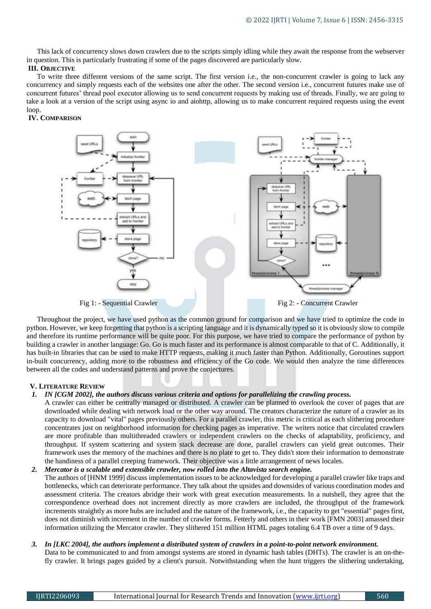This lack of concurrency slows down crawlers due to the scripts simply idling while they await the response from the webserver in question. This is particularly frustrating if some of the pages discovered are particularly slow.

# **III. OBJECTIVE**

To write three different versions of the same script. The first version i.e., the non-concurrent crawler is going to lack any concurrency and simply requests each of the websites one after the other. The second version i.e., concurrent futures make use of concurrent futures' thread pool executor allowing us to send concurrent requests by making use of threads. Finally, we are going to take a look at a version of the script using async io and aiohttp, allowing us to make concurrent required requests using the event loop.

# **IV. COMPARISON**



Throughout the project, we have used python as the common ground for comparison and we have tried to optimize the code in python. However, we keep forgetting that python is a scripting language and it is dynamically typed so it is obviously slow to compile and therefore its runtime performance will be quite poor. For this purpose, we have tried to compare the performance of python by building a crawler in another language: Go. Go is much faster and its performance is almost comparable to that of C. Additionally, it has built-in libraries that can be used to make HTTP requests, making it much faster than Python. Additionally, Goroutines support in-built concurrency, adding more to the robustness and efficiency of the Go code. We would then analyze the time differences between all the codes and understand patterns and prove the conjectures.

# **V. LITERATURE REVIEW**

# *1. IN [CGM 2002], the authors discuss various criteria and options for parallelizing the crawling process.*

A crawler can either be centrally managed or distributed. A crawler can be planned to overlook the cover of pages that are downloaded while dealing with network load or the other way around. The creators characterize the nature of a crawler as its capacity to download "vital" pages previously others. For a parallel crawler, this metric is critical as each slithering procedure concentrates just on neighborhood information for checking pages as imperative. The writers notice that circulated crawlers are more profitable than multithreaded crawlers or independent crawlers on the checks of adaptability, proficiency, and throughput. If system scattering and system stack decrease are done, parallel crawlers can yield great outcomes. Their framework uses the memory of the machines and there is no plate to get to. They didn't store their information to demonstrate the handiness of a parallel creeping framework. Their objective was a little arrangement of news locales.

# *2. Mercator is a scalable and extensible crawler, now rolled into the Altavista search engine.*

The authors of [HNM 1999] discuss implementation issues to be acknowledged for developing a parallel crawler like traps and bottlenecks, which can deteriorate performance. They talk about the upsides and downsides of various coordination modes and assessment criteria. The creators abridge their work with great execution measurements. In a nutshell, they agree that the correspondence overhead does not increment directly as more crawlers are included, the throughput of the framework increments straightly as more hubs are included and the nature of the framework, i.e., the capacity to get "essential" pages first, does not diminish with increment in the number of crawler forms. Fetterly and others in their work [FMN 2003] amassed their information utilizing the Mercator crawler. They slithered 151 million HTML pages totaling 6.4 TB over a time of 9 days.

# *3. In [LKC 2004], the authors implement a distributed system of crawlers in a point-to-point network environment.*

Data to be communicated to and from amongst systems are stored in dynamic hash tables (DHTs). The crawler is an on-thefly crawler. It brings pages guided by a client's pursuit. Notwithstanding when the hunt triggers the slithering undertaking,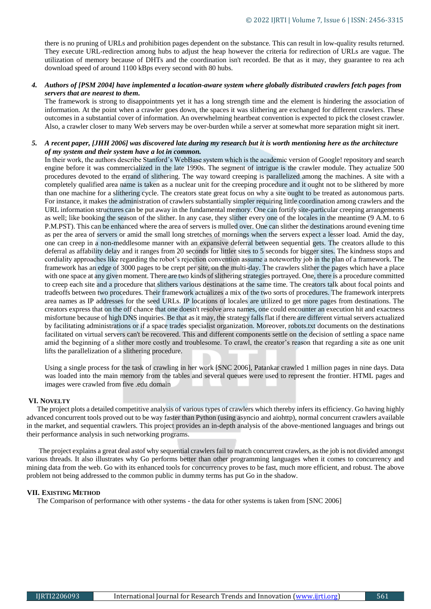there is no pruning of URLs and prohibition pages dependent on the substance. This can result in low-quality results returned. They execute URL-redirection among hubs to adjust the heap however the criteria for redirection of URLs are vague. The utilization of memory because of DHTs and the coordination isn't recorded. Be that as it may, they guarantee to rea ach download speed of around 1100 kBps every second with 80 hubs.

#### *4. Authors of [PSM 2004] have implemented a location-aware system where globally distributed crawlers fetch pages from servers that are nearest to them.*

The framework is strong to disappointments yet it has a long strength time and the element is hindering the association of information. At the point when a crawler goes down, the spaces it was slithering are exchanged for different crawlers. These outcomes in a substantial cover of information. An overwhelming heartbeat convention is expected to pick the closest crawler. Also, a crawler closer to many Web servers may be over-burden while a server at somewhat more separation might sit inert.

#### *5. A recent paper, [JHH 2006] was discovered late during my research but it is worth mentioning here as the architecture of my system and their system have a lot in common.*

In their work, the authors describe Stanford's WebBase system which is the academic version of Google! repository and search engine before it was commercialized in the late 1990s. The segment of intrigue is the crawler module. They actualize 500 procedures devoted to the errand of slithering. The way toward creeping is parallelized among the machines. A site with a completely qualified area name is taken as a nuclear unit for the creeping procedure and it ought not to be slithered by more than one machine for a slithering cycle. The creators state great focus on why a site ought to be treated as autonomous parts. For instance, it makes the administration of crawlers substantially simpler requiring little coordination among crawlers and the URL information structures can be put away in the fundamental memory. One can fortify site-particular creeping arrangements as well; like booking the season of the slither. In any case, they slither every one of the locales in the meantime (9 A.M. to 6 P.M.PST). This can be enhanced where the area of servers is mulled over. One can slither the destinations around evening time as per the area of servers or amid the small long stretches of mornings when the servers expect a lesser load. Amid the day, one can creep in a non-meddlesome manner with an expansive deferral between sequential gets. The creators allude to this deferral as affability delay and it ranges from 20 seconds for littler sites to 5 seconds for bigger sites. The kindness stops and cordiality approaches like regarding the robot's rejection convention assume a noteworthy job in the plan of a framework. The framework has an edge of 3000 pages to be crept per site, on the multi-day. The crawlers slither the pages which have a place with one space at any given moment. There are two kinds of slithering strategies portrayed. One, there is a procedure committed to creep each site and a procedure that slithers various destinations at the same time. The creators talk about focal points and tradeoffs between two procedures. Their framework actualizes a mix of the two sorts of procedures. The framework interprets area names as IP addresses for the seed URLs. IP locations of locales are utilized to get more pages from destinations. The creators express that on the off chance that one doesn't resolve area names, one could encounter an execution hit and exactness misfortune because of high DNS inquiries. Be that as it may, the strategy falls flat if there are different virtual servers actualized by facilitating administrations or if a space trades specialist organization. Moreover, robots.txt documents on the destinations facilitated on virtual servers can't be recovered. This and different components settle on the decision of settling a space name amid the beginning of a slither more costly and troublesome. To crawl, the creator's reason that regarding a site as one unit lifts the parallelization of a slithering procedure.

Using a single process for the task of crawling in her work [SNC 2006], Patankar crawled 1 million pages in nine days. Data was loaded into the main memory from the tables and several queues were used to represent the frontier. HTML pages and images were crawled from five .edu domain

#### **VI. NOVELTY**

The project plots a detailed competitive analysis of various types of crawlers which thereby infers its efficiency. Go having highly advanced concurrent tools proved out to be way faster than Python (using asyncio and aiohttp), normal concurrent crawlers available in the market, and sequential crawlers. This project provides an in-depth analysis of the above-mentioned languages and brings out their performance analysis in such networking programs.

The project explains a great deal astof why sequential crawlers fail to match concurrent crawlers, as the job is not divided amongst various threads. It also illustrates why Go performs better than other programming languages when it comes to concurrency and mining data from the web. Go with its enhanced tools for concurrency proves to be fast, much more efficient, and robust. The above problem not being addressed to the common public in dummy terms has put Go in the shadow.

#### **VII. EXISTING METHOD**

The Comparison of performance with other systems - the data for other systems is taken from [SNC 2006]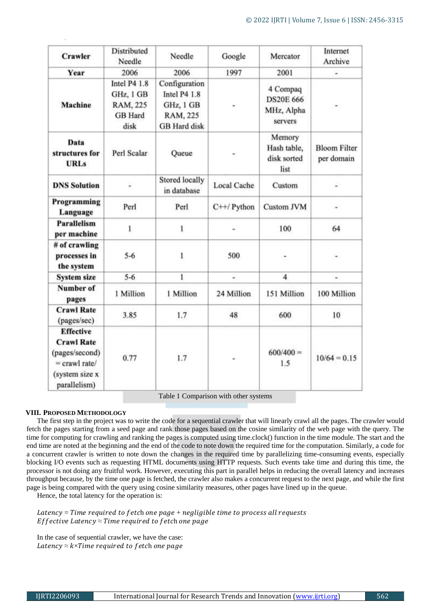| <b>Crawler</b>                                                                                               | Distributed<br>Needle                                           | Needle                                                                        | Google             | Mercator                                              | Internet<br>Archive               |
|--------------------------------------------------------------------------------------------------------------|-----------------------------------------------------------------|-------------------------------------------------------------------------------|--------------------|-------------------------------------------------------|-----------------------------------|
| Year                                                                                                         | 2006                                                            | 2006                                                                          | 1997               | 2001                                                  | $\overline{ }$                    |
| <b>Machine</b>                                                                                               | Intel P4 1.8<br>GHz, 1 GB<br>RAM, 225<br><b>GB</b> Hard<br>disk | Configuration<br>Intel P4 1.8<br>GHz, 1 GB<br>RAM, 225<br><b>GB</b> Hard disk |                    | 4 Compaq<br><b>DS20E 666</b><br>MHz, Alpha<br>servers |                                   |
| Data<br>structures for<br><b>URLs</b>                                                                        | Perl Scalar                                                     | Queue                                                                         |                    | Memory<br>Hash table,<br>disk sorted<br>list          | <b>Bloom Filter</b><br>per domain |
| <b>DNS Solution</b>                                                                                          |                                                                 | Stored locally<br>in database                                                 | <b>Local Cache</b> | Custom                                                |                                   |
| Programming<br>Language                                                                                      | Perl                                                            | Perl                                                                          | $C++/$ Python      | <b>Custom JVM</b>                                     | s.                                |
| <b>Parallelism</b><br>per machine                                                                            | 1                                                               | 1                                                                             |                    | 100                                                   | 64                                |
| # of crawling<br>processes in<br>the system                                                                  | $5 - 6$                                                         | $\mathbf{I}$                                                                  | 500                |                                                       |                                   |
| <b>System size</b>                                                                                           | $5 - 6$                                                         | ı                                                                             | ä,                 | 4                                                     | ÷                                 |
| Number of<br>pages                                                                                           | 1 Million                                                       | 1 Million                                                                     | 24 Million         | 151 Million                                           | 100 Million                       |
| <b>Crawl Rate</b><br>(pages/sec)                                                                             | 3.85                                                            | 1.7                                                                           | 48                 | 600                                                   | 10                                |
| <b>Effective</b><br><b>Crawl Rate</b><br>(pages/second)<br>$=$ crawl rate/<br>(system size x<br>parallelism) | 0.77                                                            | 1.7                                                                           |                    | $600/400 =$<br>1.5                                    | $10/64 = 0.15$                    |

Table 1 Comparison with other systems

# **VIII. PROPOSED METHODOLOGY**

The first step in the project was to write the code for a sequential crawler that will linearly crawl all the pages. The crawler would fetch the pages starting from a seed page and rank those pages based on the cosine similarity of the web page with the query. The time for computing for crawling and ranking the pages is computed using time.clock() function in the time module. The start and the end time are noted at the beginning and the end of the code to note down the required time for the computation. Similarly, a code for a concurrent crawler is written to note down the changes in the required time by parallelizing time-consuming events, especially blocking I/O events such as requesting HTML documents using HTTP requests. Such events take time and during this time, the processor is not doing any fruitful work. However, executing this part in parallel helps in reducing the overall latency and increases throughput because, by the time one page is fetched, the crawler also makes a concurrent request to the next page, and while the first page is being compared with the query using cosine similarity measures, other pages have lined up in the queue.

Hence, the total latency for the operation is:

Latency = Time required to fetch one page + negligible time to process all requests *Effective Latency*  $\approx$  *Time required to fetch one page* 

In the case of sequential crawler, we have the case: Latency  $\approx k \times T$  ime required to fetch one page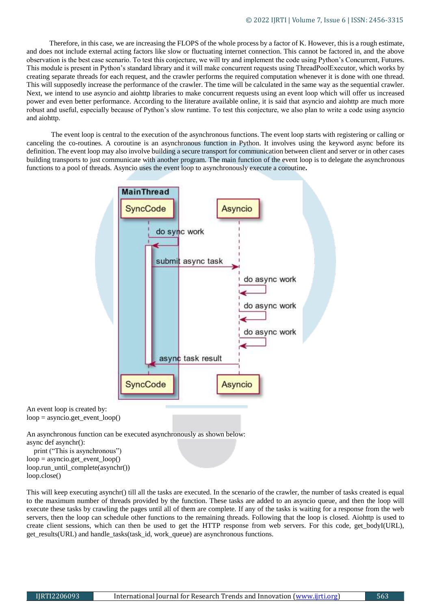Therefore, in this case, we are increasing the FLOPS of the whole process by a factor of K. However, this is a rough estimate, and does not include external acting factors like slow or fluctuating internet connection. This cannot be factored in, and the above observation is the best case scenario. To test this conjecture, we will try and implement the code using Python's Concurrent, Futures. This module is present in Python's standard library and it will make concurrent requests using ThreadPoolExecutor, which works by creating separate threads for each request, and the crawler performs the required computation whenever it is done with one thread. This will supposedly increase the performance of the crawler. The time will be calculated in the same way as the sequential crawler. Next, we intend to use asyncio and aiohttp libraries to make concurrent requests using an event loop which will offer us increased power and even better performance. According to the literature available online, it is said that asyncio and aiohttp are much more robust and useful, especially because of Python's slow runtime. To test this conjecture, we also plan to write a code using asyncio and aiohttp.

 The event loop is central to the execution of the asynchronous functions. The event loop starts with registering or calling or canceling the co-routines. A coroutine is an asynchronous function in Python. It involves using the keyword async before its definition. The event loop may also involve building a secure transport for communication between client and server or in other cases building transports to just communicate with another program. The main function of the event loop is to delegate the asynchronous functions to a pool of threads. Asyncio uses the event loop to asynchronously execute a coroutine**.**



 An event loop is created by:  $loop = asympto.get\_event\_loop()$ 

An asynchronous function can be executed asynchronously as shown below: async def asynchr():

print ("This is asynchronous")  $loop = asympto.get\_event\_loop()$ loop.run\_until\_complete(asynchr()) loop.close()

This will keep executing asynchr() till all the tasks are executed. In the scenario of the crawler, the number of tasks created is equal to the maximum number of threads provided by the function. These tasks are added to an asyncio queue, and then the loop will execute these tasks by crawling the pages until all of them are complete. If any of the tasks is waiting for a response from the web servers, then the loop can schedule other functions to the remaining threads. Following that the loop is closed. Aiohttp is used to create client sessions, which can then be used to get the HTTP response from web servers. For this code, get\_bodyI(URL), get\_results(URL) and handle\_tasks(task\_id, work\_queue) are asynchronous functions.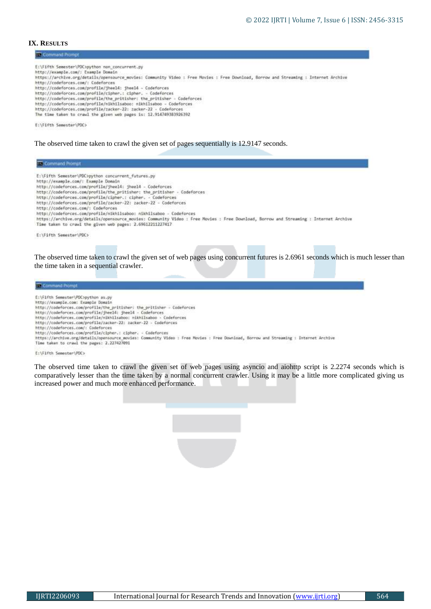#### **IX. RESULTS**

Command Promp

E:\Fifth Semester\PDC>python non concurrent.py http://example.com/: Example Domain https://archive.org/details/opensource\_movies: Community Video : Free Movies : Free Download, Borrow and Streaming : Internet Archive http://codeforces.com/: Codeforces http://codeforces.com/profile/jheel4: jheel4 - Codeforces http://codeforces.com/profile/cipher.: cipher. - Codeforces http://codeforces.com/profile/the\_pritisher: the\_pritisher = Codeforces<br>http://codeforces.com/profile/nikhilsaboo: nikhilsaboo - Codeforces http://codeforces.com/profile/zacker-22: zacker-22 - Codeforce The time taken to crawl the given web pages is: 12.914749383926392 E:\E1fth Speester\PDC>

#### The observed time taken to crawl the given set of pages sequentially is 12.9147 seconds.

**TX Command Prompt** E:\Fifth Semester\PDC>python concurrent\_futures.py http://example.com/: Example Domain http://codeforces.com/profile/jheel4: jheel4 - Codeforces http://cadeforces.com/profile/the\_pritisher: the\_pritisher - Codeforces<br>http://cadeforces.com/profile/cipher.: cipher. - Cadeforces http://codeforces.com/profile/zacker-22: zacker-22 - Codeforces http://codeforces.com/: Codeforces http://codeforces.com/profile/nikhilsaboo: nikhilsaboo - Codeforces https://archive.org/details/opensource\_movies: Community Video : Free Movies : Free Download, Borrow and Streaming : Internet Archive Time taken to crawl the given web pages: 2.69612211227417 E:\Fifth Semester\PDC>

The observed time taken to crawl the given set of web pages using concurrent futures is 2.6961 seconds which is much lesser than the time taken in a sequential crawler.

#### Command Prompt

E:\Fifth Semester\PDC>python as.py http://example.com: Example Domain

http://cadeforces.com/profile/the\_pritisher: the\_pritisher - Cadeforces<br>http://cadeforces.com/profile/jheel4: jheel4 - Codeforces

http://codeforces.com/profile/nikhiIsaboo: nikhiIsaboo - Codeforces

http://codeforces.com/profile/zacker-22: zacker-22 - Codeforces

http://codeforces.com/: Codeforces<br>http://codeforces.com/; Codeforces<br>http://codeforces.com/profile/cipher.: cipher. - Codeforces<br>https://archive.org/details/opensource\_movies: Community Video : Free Movies : Free Download

E:\Fifth Semester\PDC>

The observed time taken to crawl the given set of web pages using asyncio and aiohttp script is 2.2274 seconds which is comparatively lesser than the time taken by a normal concurrent crawler. Using it may be a little more complicated giving us increased power and much more enhanced performance.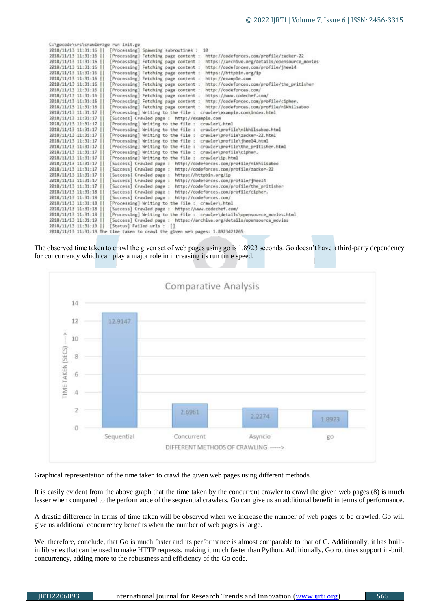| C:\gocode\src\crawler>go run init.go                                                                         |
|--------------------------------------------------------------------------------------------------------------|
| 2018/11/13 11:31:16  <br>Processing] Spawning subroutines :<br>18                                            |
| 2018/11/13 11:31:16<br>Processing] Fetching page content :<br>http://codeforces.com/profile/zacker-22        |
| Processing] Fetching page content :<br>https://archive.org/details/opensource_movies_<br>2018/11/13 11:31:16 |
| Processing] Fetching page content :<br>http://codeforces.com/profile/jheel4<br>2018/11/13 11:31:16           |
| Processing] Fetching page content :<br>https://httpbin.org/ip<br>2018/11/13 11:31:16                         |
| Processing] Fetching page content :<br>http://example.com<br>2018/11/13 11:31:16                             |
| http://codeforces.com/profile/the_pritisher_<br>Processing] Fetching page content :<br>2018/11/13 11:31:16   |
| 2018/11/13 11:31:16<br>Processing] Fetching page content :<br>http://codeforces.com/                         |
| Processing] Fetching page content :<br>https://www.codechef.com/<br>2018/11/13 11:31:16                      |
| 2018/11/13 11:31:16<br>Processing] Fetching page content :<br>http://codeforces.com/profile/cipher.          |
| http://codeforces.com/profile/nikhilsaboo<br>2018/11/13 11:31:16<br>Processing] Fetching page content :      |
| Processing] Writing to the file :<br>crawler\example.com\index.html<br>2018/11/13 11:31:17                   |
| [Success] Crawled page : http://example.com<br>2018/11/13 11:31:17                                           |
| Processing] Writing to the file :<br>crawler\.html<br>2018/11/13 11:31:17                                    |
| Processing] Writing to the file :<br>2018/11/13 11:31:17<br>crawler\profile\nikhilsaboo.html                 |
| Processing] Writing to the file :<br>2018/11/13 11:31:17<br>crawler\profile\zacker-22.html                   |
| Processing] Writing to the file :<br>crawler\profile\iheel4.html<br>2018/11/13 11:31:17                      |
| Processing] Writing to the file :<br>crawler\profile\the_pritisher.html<br>2018/11/13 11:31:17               |
| Processing] Writing to the file :<br>crawler\profile\cipher.<br>2018/11/13 11:31:17                          |
| Processing] Writing to the file : crawler\ip.html<br>2018/11/13 11:31:17                                     |
| Success] Crawled page : http://codeforces.com/profile/nikhilsaboo<br>2018/11/13 11:31:17                     |
| Success] Crawled page :<br>http://codeforces.com/profile/zacker-22<br>2018/11/13 11:31:17                    |
| Success] Crawled page:<br>https://httpbin.org/ip<br>2018/11/13 11:31:17                                      |
| [Success] Crawled page :<br>http://codeforces.com/profile/jheel4<br>2018/11/13 11:31:17                      |
| [Success] Crawled page :<br>http://codeforces.com/profile/the_pritisher<br>2018/11/13 11:31:17               |
| 2018/11/13 11:31:18<br>Success] Crawled page:<br>http://codeforces.com/profile/cipher.                       |
| Success] Crawled page:<br>http://codeforces.com/<br>2018/11/13 11:31:18                                      |
| Processing] Writing to the file : crawler\.html<br>2018/11/13 11:31:18                                       |
| Success] Crawled page : https://www.codechef.com/<br>2018/11/13 11:31:18                                     |
| Processing] Writing to the file : crawler\details\opensource movies.html<br>2018/11/13 11:31:18              |
| Success] Crawled page : https://archive.org/details/opensource movies<br>2018/11/13 11:31:19                 |
| [Status] Failed urls : []<br>2018/11/13 11:31:19                                                             |
| 2018/11/13 11:31:19 The time taken to crawl the given web pages: 1.8923421265                                |

The observed time taken to crawl the given set of web pages using go is 1.8923 seconds. Go doesn't have a third-party dependency for concurrency which can play a major role in increasing its run time speed.



Graphical representation of the time taken to crawl the given web pages using different methods.

It is easily evident from the above graph that the time taken by the concurrent crawler to crawl the given web pages (8) is much lesser when compared to the performance of the sequential crawlers. Go can give us an additional benefit in terms of performance.

A drastic difference in terms of time taken will be observed when we increase the number of web pages to be crawled. Go will give us additional concurrency benefits when the number of web pages is large.

We, therefore, conclude, that Go is much faster and its performance is almost comparable to that of C. Additionally, it has builtin libraries that can be used to make HTTP requests, making it much faster than Python. Additionally, Go routines support in-built concurrency, adding more to the robustness and efficiency of the Go code.